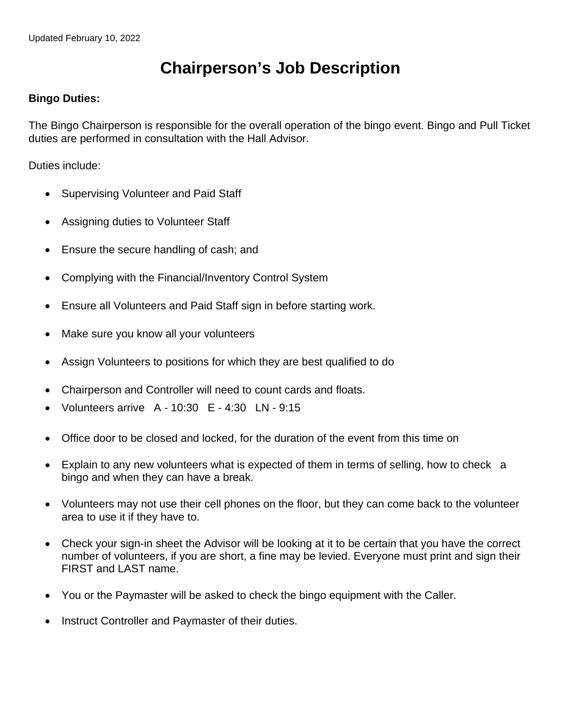## **Chairperson's Job Description**

## **Bingo Duties:**

The Bingo Chairperson is responsible for the overall operation of the bingo event. Bingo and Pull Ticket duties are performed in consultation with the Hall Advisor.

Duties include:

- Supervising Volunteer and Paid Staff
- Assigning duties to Volunteer Staff
- Ensure the secure handling of cash; and
- Complying with the Financial/Inventory Control System
- Ensure all Volunteers and Paid Staff sign in before starting work.
- Make sure you know all your volunteers
- Assign Volunteers to positions for which they are best qualified to do
- Chairperson and Controller will need to count cards and floats.
- Volunteers arrive A 10:30 E 4:30 LN 9:15
- Office door to be closed and locked, for the duration of the event from this time on
- Explain to any new volunteers what is expected of them in terms of selling, how to check a bingo and when they can have a break.
- Volunteers may not use their cell phones on the floor, but they can come back to the volunteer area to use it if they have to.
- Check your sign-in sheet the Advisor will be looking at it to be certain that you have the correct number of volunteers, if you are short, a fine may be levied. Everyone must print and sign their FIRST and LAST name.
- You or the Paymaster will be asked to check the bingo equipment with the Caller.
- Instruct Controller and Paymaster of their duties.